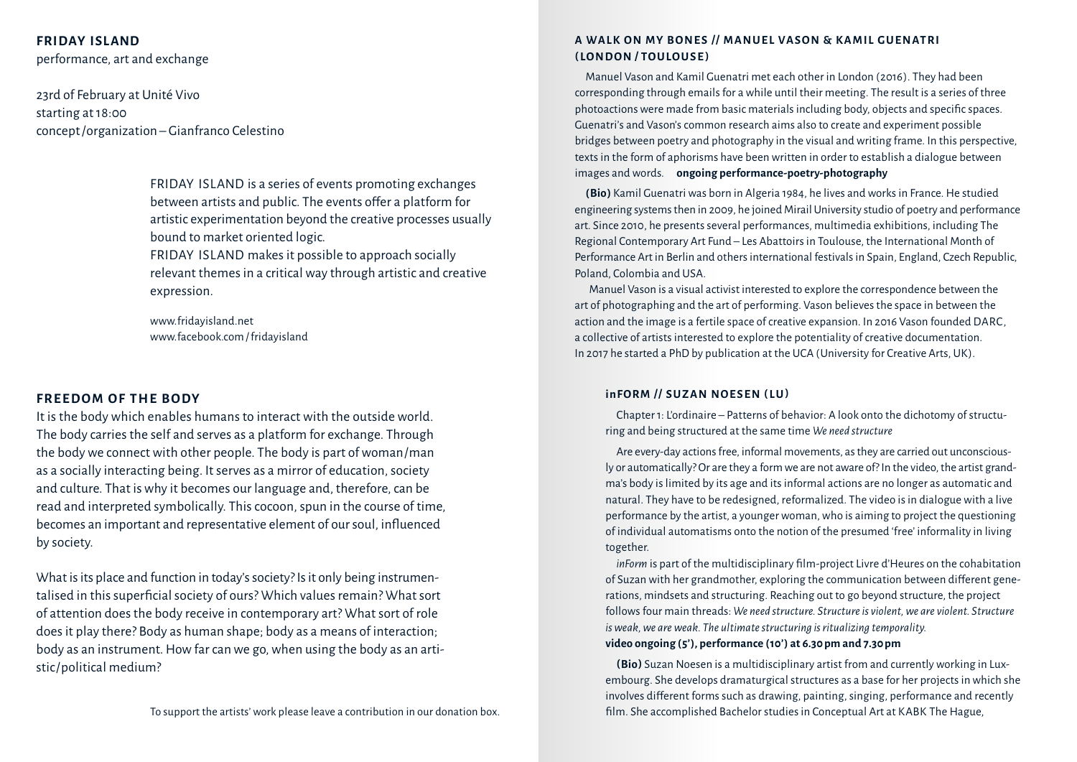# **Friday Island**

performance, art and exchange

23rd of February at Unité Vivo starting at 18:00 concept / organization – Gianfranco Celestino

> FRIDAY ISLAND is a series of events promoting exchanges between artists and public. The events offer a platform for artistic experimentation beyond the creative processes usually bound to market oriented logic.

FRIDAY ISLAND makes it possible to approach socially relevant themes in a critical way through artistic and creative expression.

www.fridayisland.net www.facebook.com / fridayisland

## **FRE EDOM OF THE BODY**

It is the body which enables humans to interact with the outside world. The body carries the self and serves as a platform for exchange. Through the body we connect with other people. The body is part of woman/man as a socially interacting being. It serves as a mirror of education, society and culture. That is why it becomes our language and, therefore, can be read and interpreted symbolically. This cocoon, spun in the course of time, becomes an important and representative element of our soul, influenced by society.

What is its place and function in today's society? Is it only being instrumentalised in this superficial society of ours? Which values remain? What sort of attention does the body receive in contemporary art? What sort of role does it play there? Body as human shape; body as a means of interaction; body as an instrument. How far can we go, when using the body as an artistic/political medium?

## **A Walk on my bones / / Manuel Vason & Kamil Guen atr i ( Lo n d o n / To ulouse )**

Manuel Vason and Kamil Guenatri met each other in London ( 2016 ). They had been corresponding through emails for a while until their meeting. The result is a series of three photoactions were made from basic materials including body, objects and specific spaces. Guenatri's and Vason's common research aims also to create and experiment possible bridges between poetry and photography in the visual and writing frame. In this perspective, texts in the form of aphorisms have been written in order to establish a dialogue between images and words. **ongoing performance-poetry-photography**

**(Bio)** Kamil Guenatri was born in Algeria 1984, he lives and works in France. He studied engineering systems then in 2009, he joined Mirail University studio of poetry and performance art. Since 2010, he presents several performances, multimedia exhibitions, including The Regional Contemporary Art Fund – Les Abattoirs in Toulouse, the International Month of Performance Art in Berlin and others international festivals in Spain, England, Czech Republic, Poland, Colombia and USA.

Manuel Vason is a visual activist interested to explore the correspondence between the art of photographing and the art of performing. Vason believes the space in between the action and the image is a fertile space of creative expansion. In 2016 Vason founded DARC, a collective of artists interested to explore the potentiality of creative documentation. In 2017 he started a PhD by publication at the UCA ( University for Creative Arts, UK ).

#### **inFORM / / Suzan Noesen ( LU)**

Chapter 1: L'ordinaire – Patterns of behavior: A look onto the dichotomy of structuring and being structured at the same time *We need structure*

Are every-day actions free, informal movements, as they are carried out unconsciously or automatically? Or are they a form we are not aware of? In the video, the artist grand‑ ma's body is limited by its age and its informal actions are no longer as automatic and natural. They have to be redesigned, reformalized. The video is in dialogue with a live performance by the artist, a younger woman, who is aiming to project the questioning of individual automatisms onto the notion of the presumed 'free' informality in living together.

*inForm* is part of the multidisciplinary film-project Livre d'Heures on the cohabitation of Suzan with her grandmother, exploring the communication between different generations, mindsets and structuring. Reaching out to go beyond structure, the project follows four main threads: *We need structure. Structure is violent, we are violent. Structure is weak, we are weak. The ultimate structuring is ritualizing temporality.* **video ongoing (5'), performance (10') at 6.30 pm and 7.30 pm**

**(Bio)** Suzan Noesen is a multidisciplinary artist from and currently working in Lux‑ embourg. She develops dramaturgical structures as a base for her projects in which she involves different forms such as drawing, painting, singing, performance and recently film. She accomplished Bachelor studies in Conceptual Art at KABK The Hague,